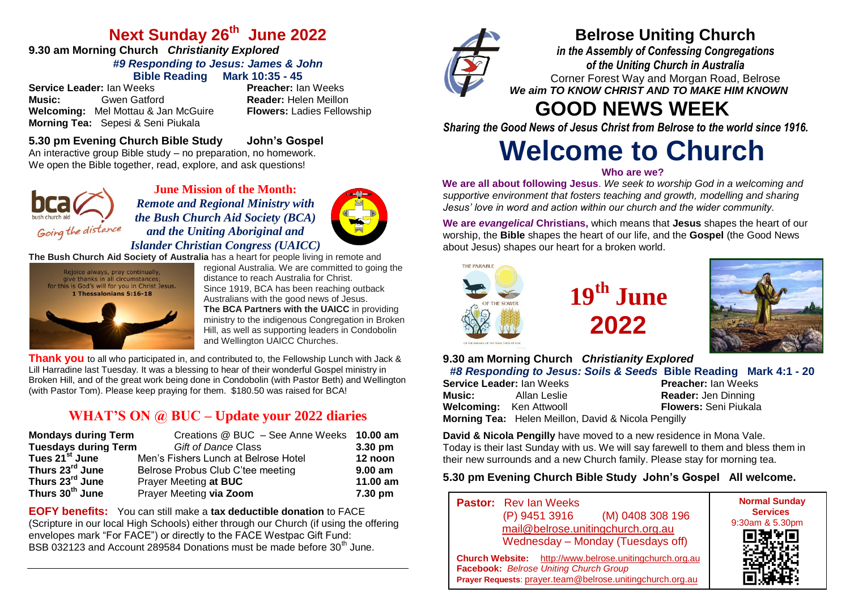### **Next Sunday 26th June 2022**

### **9.30 am Morning Church** *Christianity Explored #9 Responding to Jesus: James & John* **Bible Reading Mark 10:35 - 45**

**Service Leader: Ian Weeks Music:** Gwen Gatford **Reader:** Helen Meillon **Welcoming:** Mel Mottau & Jan McGuire **Flowers:** Ladies Fellowship **Morning Tea:** Sepesi & Seni Piukala

#### **5.30 pm Evening Church Bible Study John's Gospel** An interactive group Bible study – no preparation, no homework. We open the Bible together, read, explore, and ask questions!



**June Mission of the Month:** *Remote and Regional Ministry with the Bush Church Aid Society (BCA) and the Uniting Aboriginal and Islander Christian Congress (UAICC)* 



**The Bush Church Aid Society of Australia** has a heart for people living in remote and



regional Australia. We are committed to going the distance to reach Australia for Christ. Since 1919, BCA has been reaching outback Australians with the good news of Jesus. **The BCA Partners with the UAICC** in providing ministry to the indigenous Congregation in Broken Hill, as well as supporting leaders in Condobolin and Wellington UAICC Churches.

**Thank you** to all who participated in, and contributed to, the Fellowship Lunch with Jack & Lill Harradine last Tuesday. It was a blessing to hear of their wonderful Gospel ministry in Broken Hill, and of the great work being done in Condobolin (with Pastor Beth) and Wellington (with Pastor Tom). Please keep praying for them. \$180.50 was raised for BCA!

### **WHAT'S ON @ BUC – Update your 2022 diaries**

| <b>Mondays during Term</b>  | Creations @ BUC - See Anne Weeks 10.00 am |           |
|-----------------------------|-------------------------------------------|-----------|
| <b>Tuesdays during Term</b> | <b>Gift of Dance Class</b>                | $3.30$ pm |
| Tues 21 <sup>st</sup> June  | Men's Fishers Lunch at Belrose Hotel      | 12 noon   |
| Thurs 23 <sup>rd</sup> June | Belrose Probus Club C'tee meeting         | $9.00$ am |
| Thurs 23 <sup>rd</sup> June | Prayer Meeting at BUC                     | 11.00 am  |
| Thurs 30 <sup>th</sup> June | Prayer Meeting via Zoom                   | 7.30 pm   |

**EOFY benefits:** You can still make a **tax deductible donation** to FACE (Scripture in our local High Schools) either through our Church (if using the offering envelopes mark "For FACE") or directly to the FACE Westpac Gift Fund: BSB 032123 and Account 289584 Donations must be made before 30<sup>th</sup> June.



### **Belrose Uniting Church**

*in the Assembly of Confessing Congregations of the Uniting Church in Australia* Corner Forest Way and Morgan Road, Belrose *We aim TO KNOW CHRIST AND TO MAKE HIM KNOWN*

## **GOOD NEWS WEEK**

*Sharing the Good News of Jesus Christ from Belrose to the world since 1916.*

# **Welcome to Church**

#### **Who are we?**

**We are all about following Jesus**. *We seek to worship God in a welcoming and supportive environment that fosters teaching and growth, modelling and sharing Jesus' love in word and action within our church and the wider community.*

**We are** *evangelical* **Christians,** which means that **Jesus** shapes the heart of our worship, the **Bible** shapes the heart of our life, and the **Gospel** (the Good News about Jesus) shapes our heart for a broken world.



## **19th June 2022**



**9.30 am Morning Church** *Christianity Explored*

|                                |              |                                                            | #8 Responding to Jesus: Soils & Seeds Bible Reading Mark 4:1 - 20 |  |
|--------------------------------|--------------|------------------------------------------------------------|-------------------------------------------------------------------|--|
| Service Leader: Ian Weeks      |              |                                                            | <b>Preacher: Ian Weeks</b>                                        |  |
| Music: <b>Music</b>            | Allan Leslie |                                                            | <b>Reader: Jen Dinning</b>                                        |  |
| <b>Welcoming:</b> Ken Attwooll |              |                                                            | <b>Flowers:</b> Seni Piukala                                      |  |
|                                |              | <b>Morning Tea:</b> Helen Meillon, David & Nicola Pengilly |                                                                   |  |

**David & Nicola Pengilly** have moved to a new residence in Mona Vale. Today is their last Sunday with us. We will say farewell to them and bless them in their new surrounds and a new Church family. Please stay for morning tea.

### **5.30 pm Evening Church Bible Study John's Gospel All welcome.**

| <b>Pastor:</b> Rev Ian Weeks<br>(M) 0408 308 196<br>(P) 9451 3916<br>mail@belrose.unitingchurch.org.au<br>Wednesday - Monday (Tuesdays off)                    | <b>Normal Sunday</b><br><b>Services</b><br>9:30am & 5.30pm<br>回想》[E]<br>《公共》 |
|----------------------------------------------------------------------------------------------------------------------------------------------------------------|------------------------------------------------------------------------------|
| Church Website: http://www.belrose.unitingchurch.org.au<br>Facebook: Belrose Uniting Church Group<br>Prayer Requests: prayer.team@belrose.unitingchurch.org.au |                                                                              |